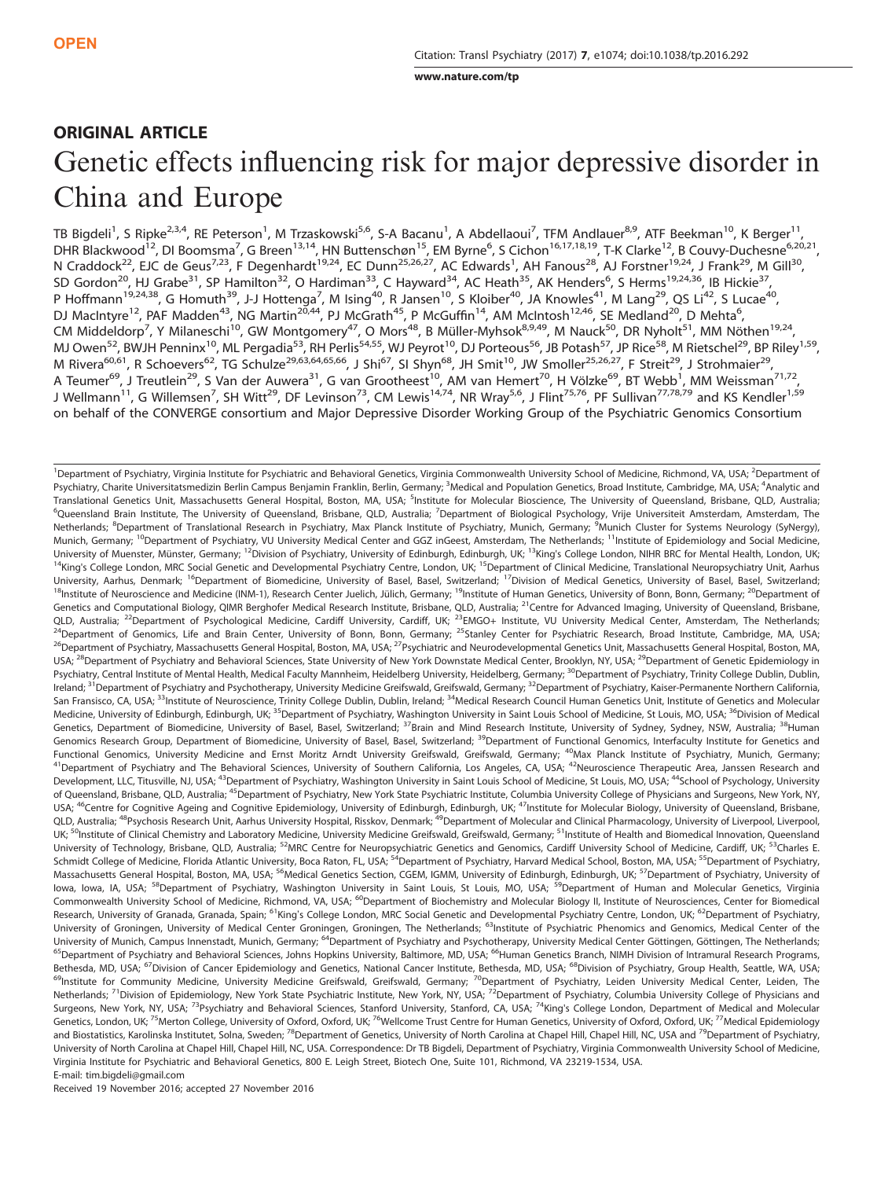[www.nature.com/tp](http://www.nature.com/tp)

# ORIGINAL ARTICLE Genetic effects influencing risk for major depressive disorder in China and Europe

TB Bigdeli<sup>1</sup>, S Ripke<sup>2,3,4</sup>, RE Peterson<sup>1</sup>, M Trzaskowski<sup>5,6</sup>, S-A Bacanu<sup>1</sup>, A Abdellaoui<sup>7</sup>, TFM Andlauer<sup>8,9</sup>, ATF Beekman<sup>10</sup>, K Berger<sup>11</sup>, DHR Blackwood<sup>12</sup>, DI Boomsma<sup>7</sup>, G Breen<sup>13,14</sup>, HN Buttenschøn<sup>15</sup>, EM Byrne<sup>6</sup>, S Cichon<sup>16,17,18,19</sup>, T-K Clarke<sup>12</sup>, B Couvy-Duchesne<sup>6,20,21</sup>, N Craddock<sup>22</sup>, EJC de Geus<sup>7,23</sup>, F Degenhardt<sup>19,24</sup>, EC Dunn<sup>25,26,27</sup>, AC Edwards<sup>1</sup>, AH Fanous<sup>28</sup>, AJ Forstner<sup>19,24</sup>, J Frank<sup>29</sup>, M Gill<sup>30</sup>, SD Gordon<sup>20</sup>, HJ Grabe<sup>31</sup>, SP Hamilton<sup>32</sup>, O Hardiman<sup>33</sup>, C Hayward<sup>34</sup>, AC Heath<sup>35</sup>, AK Henders<sup>6</sup>, S Herms<sup>19,24,36</sup>, IB Hickie<sup>37</sup>, P Hoffmann<sup>19,24,38</sup>, G Homuth<sup>39</sup>, J-J Hottenga<sup>7</sup>, M Ising<sup>40</sup>, R Jansen<sup>10</sup>, S Kloiber<sup>40</sup>, JA Knowles<sup>41</sup>, M Lang<sup>29</sup>, QS Li<sup>42</sup>, S Lucae<sup>40</sup>, DJ MacIntyre<sup>12</sup>, PAF Madden<sup>43</sup>, NG Martin<sup>20,44</sup>, PJ McGrath<sup>45</sup>, P McGuffin<sup>14</sup>, AM McIntosh<sup>12,46</sup>, SE Medland<sup>20</sup>, D Mehta<sup>6</sup>, CM Middeldorp<sup>7</sup>, Y Milaneschi<sup>10</sup>, GW Montgomery<sup>47</sup>, O Mors<sup>48</sup>, B Müller-Myhsok<sup>8,9,49</sup>, M Nauck<sup>50</sup>, DR Nyholt<sup>51</sup>, MM Nöthen<sup>19,24</sup>, MJ Owen<sup>52</sup>, BWJH Penninx<sup>10</sup>, ML Pergadia<sup>53</sup>, RH Perlis<sup>54,55</sup>, WJ Peyrot<sup>10</sup>, DJ Porteous<sup>56</sup>, JB Potash<sup>57</sup>, JP Rice<sup>58</sup>, M Rietschel<sup>29</sup>, BP Riley<sup>1,59</sup>, M Rivera<sup>60,61</sup>, R Schoevers<sup>62</sup>, TG Schulze<sup>29,63,64,65,66</sup>, J Shi<sup>67</sup>, SI Shyn<sup>68</sup>, JH Smit<sup>10</sup>, JW Smoller<sup>25,26,27</sup>, F Streit<sup>29</sup>, J Strohmaier<sup>29</sup>, A Teumer<sup>69</sup>, J Treutlein<sup>29</sup>, S Van der Auwera<sup>31</sup>, G van Grootheest<sup>10</sup>, AM van Hemert<sup>70</sup>, H Völzke<sup>69</sup>, BT Webb<sup>1</sup>, MM Weissman<sup>71,72</sup>, J Wellmann<sup>11</sup>, G Willemsen<sup>7</sup>, SH Witt<sup>29</sup>, DF Levinson<sup>73</sup>, CM Lewis<sup>14,74</sup>, NR Wray<sup>5,6</sup>, J Flint<sup>75,76</sup>, PF Sullivan<sup>77,78,79</sup> and KS Kendler<sup>1,59</sup> on behalf of the CONVERGE consortium and Major Depressive Disorder Working Group of the Psychiatric Genomics Consortium

<sup>1</sup>Department of Psychiatry, Virginia Institute for Psychiatric and Behavioral Genetics, Virginia Commonwealth University School of Medicine, Richmond, VA, USA; <sup>2</sup>Department of Psychiatry, Charite Universitatsmedizin Berlin Campus Benjamin Franklin, Berlin, Germany; <sup>3</sup>Medical and Population Genetics, Broad Institute, Cambridge, MA, USA; <sup>4</sup>Analytic and Translational Genetics Unit, Massachusetts General Hospital, Boston, MA, USA; <sup>5</sup>Institute for Molecular Bioscience, The University of Queensland, Brisbane, QLD, Australia; <sup>6</sup>Queensland Brain Institute, The University of Queensland, Brisbane, QLD, Australia; <sup>7</sup>Department of Biological Psychology, Vrije Universiteit Amsterdam, Amsterdam, The Netherlands; <sup>8</sup>Department of Translational Research in Psychiatry, Max Planck Institute of Psychiatry, Munich, Germany; <sup>9</sup>Munich Cluster for Systems Neurology (SyNergy), Munich, Germany; <sup>10</sup>Department of Psychiatry, VU University Medical Center and GGZ inGeest, Amsterdam, The Netherlands; <sup>11</sup>Institute of Epidemiology and Social Medicine, University of Muenster, Münster, Germany; <sup>12</sup>Division of Psychiatry, University of Edinburgh, Edinburgh, UK; <sup>13</sup>King's College London, NIHR BRC for Mental Health, London, UK; <sup>14</sup>King's College London, MRC Social Genetic and Developmental Psychiatry Centre, London, UK; <sup>15</sup>Department of Clinical Medicine, Translational Neuropsychiatry Unit, Aarhus University, Aarhus, Denmark; <sup>16</sup>Department of Biomedicine, University of Basel, Basel, Switzerland; <sup>17</sup>Division of Medical Genetics, University of Basel, Basel, Switzerland; <sup>18</sup>Institute of Neuroscience and Medicine (INM-1), Research Center Juelich, Jülich, Germany; <sup>19</sup>Institute of Human Genetics, University of Bonn, Bonn, Germany; <sup>20</sup>Department of Genetics and Computational Biology, QIMR Berghofer Medical Research Institute, Brisbane, QLD, Australia; <sup>21</sup>Centre for Advanced Imaging, University of Queensland, Brisbane, QLD, Australia; <sup>22</sup>Department of Psychological Medicine, Cardiff University, Cardiff, UK; <sup>23</sup>EMGO+ Institute, VU University Medical Center, Amsterdam, The Netherlands; <sup>24</sup>Department of Genomics, Life and Brain Center, University of Bonn, Bonn, Germany; <sup>25</sup>Stanley Center for Psychiatric Research, Broad Institute, Cambridge, MA, USA; <sup>26</sup>Department of Psychiatry, Massachusetts General Hospital, Boston, MA, USA; <sup>27</sup>Psychiatric and Neurodevelopmental Genetics Unit, Massachusetts General Hospital, Boston, MA, USA; <sup>28</sup>Department of Psychiatry and Behavioral Sciences, State University of New York Downstate Medical Center, Brooklyn, NY, USA; <sup>29</sup>Department of Genetic Epidemiology in Psychiatry, Central Institute of Mental Health, Medical Faculty Mannheim, Heidelberg University, Heidelberg, Germany; <sup>30</sup>Department of Psychiatry, Trinity College Dublin, Dublin, Ireland; <sup>31</sup>Department of Psychiatry and Psychotherapy, University Medicine Greifswald, Greifswald, Germany; <sup>32</sup>Department of Psychiatry, Kaiser-Permanente Northern California, San Fransisco, CA, USA; <sup>33</sup>Institute of Neuroscience, Trinity College Dublin, Dublin, Ireland; <sup>34</sup>Medical Research Council Human Genetics Unit, Institute of Genetics and Molecular Medicine, University of Edinburgh, Edinburgh, UK; <sup>35</sup>Department of Psychiatry, Washington University in Saint Louis School of Medicine, St Louis, MO, USA; <sup>36</sup>Division of Medical Genetics, Department of Biomedicine, University of Basel, Basel, Switzerland; <sup>37</sup>Brain and Mind Research Institute, University of Sydney, Sydney, NSW, Australia; <sup>38</sup>Human Genomics Research Group, Department of Biomedicine, University of Basel, Basel, Switzerland; <sup>39</sup>Department of Functional Genomics, Interfaculty Institute for Genetics and Functional Genomics, University Medicine and Ernst Moritz Arndt University Greifswald, Greifswald, Germany; <sup>40</sup>Max Planck Institute of Psychiatry, Munich, Germany; <sup>41</sup>Department of Psychiatry and The Behavioral Sciences, University of Southern California, Los Angeles, CA, USA; <sup>42</sup>Neuroscience Therapeutic Area, Janssen Research and Development, LLC, Titusville, NJ, USA; <sup>43</sup>Department of Psychiatry, Washington University in Saint Louis School of Medicine, St Louis, MO, USA; <sup>44</sup>School of Psychology, University of Queensland, Brisbane, QLD, Australia; 45Department of Psychiatry, New York State Psychiatric Institute, Columbia University College of Physicians and Surgeons, New York, NY, USA; <sup>46</sup>Centre for Cognitive Ageing and Cognitive Epidemiology, University of Edinburgh, Edinburgh, UK; <sup>47</sup>Institute for Molecular Biology, University of Queensland, Brisbane, QLD, Australia; <sup>48</sup>Psychosis Research Unit, Aarhus University Hospital, Risskov, Denmark; <sup>49</sup>Department of Molecular and Clinical Pharmacology, University of Liverpool, Liverpool, UK; <sup>50</sup>Institute of Clinical Chemistry and Laboratory Medicine, University Medicine Greifswald, Greifswald, Germany; <sup>51</sup>Institute of Health and Biomedical Innovation, Queensland University of Technology, Brisbane, QLD, Australia; <sup>52</sup>MRC Centre for Neuropsychiatric Genetics and Genomics, Cardiff University School of Medicine, Cardiff, UK; <sup>53</sup>Charles E. Schmidt College of Medicine, Florida Atlantic University, Boca Raton, FL, USA; <sup>54</sup>Department of Psychiatry, Harvard Medical School, Boston, MA, USA; <sup>55</sup>Department of Psychiatry, Massachusetts General Hospital, Boston, MA, USA; <sup>56</sup>Medical Genetics Section, CGEM, IGMM, University of Edinburgh, Edinburgh, UK; <sup>57</sup>Department of Psychiatry, University of Iowa, Iowa, IA, USA; <sup>58</sup>Department of Psychiatry, Washington University in Saint Louis, St Louis, MO, USA; <sup>59</sup>Department of Human and Molecular Genetics, Virginia Commonwealth University School of Medicine, Richmond, VA, USA; <sup>60</sup>Department of Biochemistry and Molecular Biology II, Institute of Neurosciences, Center for Biomedical Research, University of Granada, Granada, Spain; <sup>61</sup>King's College London, MRC Social Genetic and Developmental Psychiatry Centre, London, UK; <sup>62</sup>Department of Psychiatry, University of Groningen, University of Medical Center Groningen, Groningen, The Netherlands; 63Institute of Psychiatric Phenomics and Genomics, Medical Center of the University of Munich, Campus Innenstadt, Munich, Germany; <sup>64</sup>Department of Psychiatry and Psychotherapy, University Medical Center Göttingen, Göttingen, The Netherlands; <sup>65</sup>Department of Psychiatry and Behavioral Sciences, Johns Hopkins University, Baltimore, MD, USA; <sup>66</sup>Human Genetics Branch, NIMH Division of Intramural Research Programs, Bethesda, MD, USA; <sup>67</sup>Division of Cancer Epidemiology and Genetics, National Cancer Institute, Bethesda, MD, USA; <sup>68</sup>Division of Psychiatry, Group Health, Seattle, WA, USA; <sup>69</sup>Institute for Community Medicine, University Medicine Greifswald, Gerifswald, Germany; <sup>70</sup>Department of Psychiatry, Leiden University Medical Center, Leiden, The Netherlands; <sup>71</sup>Division of Epidemiology, New York State Psychiatric Institute, New York, NY, USA; <sup>72</sup>Department of Psychiatry, Columbia University College of Physicians and Surgeons, New York, NY, USA; <sup>73</sup>Psychiatry and Behavioral Sciences, Stanford University, Stanford, CA, USA; <sup>74</sup>King's College London, Department of Medical and Molecular Genetics, London, UK; <sup>75</sup>Merton College, University of Oxford, Oxford, UK; <sup>76</sup>Wellcome Trust Centre for Human Genetics, University of Oxford, Oxford, UK; <sup>77</sup>Medical Epidemiology and Biostatistics, Karolinska Institutet, Solna, Sweden; <sup>78</sup>Department of Genetics, University of North Carolina at Chapel Hill, Chapel Hill, NC, USA and <sup>79</sup>Department of Psychiatry, University of North Carolina at Chapel Hill, Chapel Hill, NC, USA. Correspondence: Dr TB Bigdeli, Department of Psychiatry, Virginia Commonwealth University School of Medicine, Virginia Institute for Psychiatric and Behavioral Genetics, 800 E. Leigh Street, Biotech One, Suite 101, Richmond, VA 23219-1534, USA. E-mail: [tim.bigdeli@gmail.com](mailto:tim.bigdeli@gmail.com)

Received 19 November 2016; accepted 27 November 2016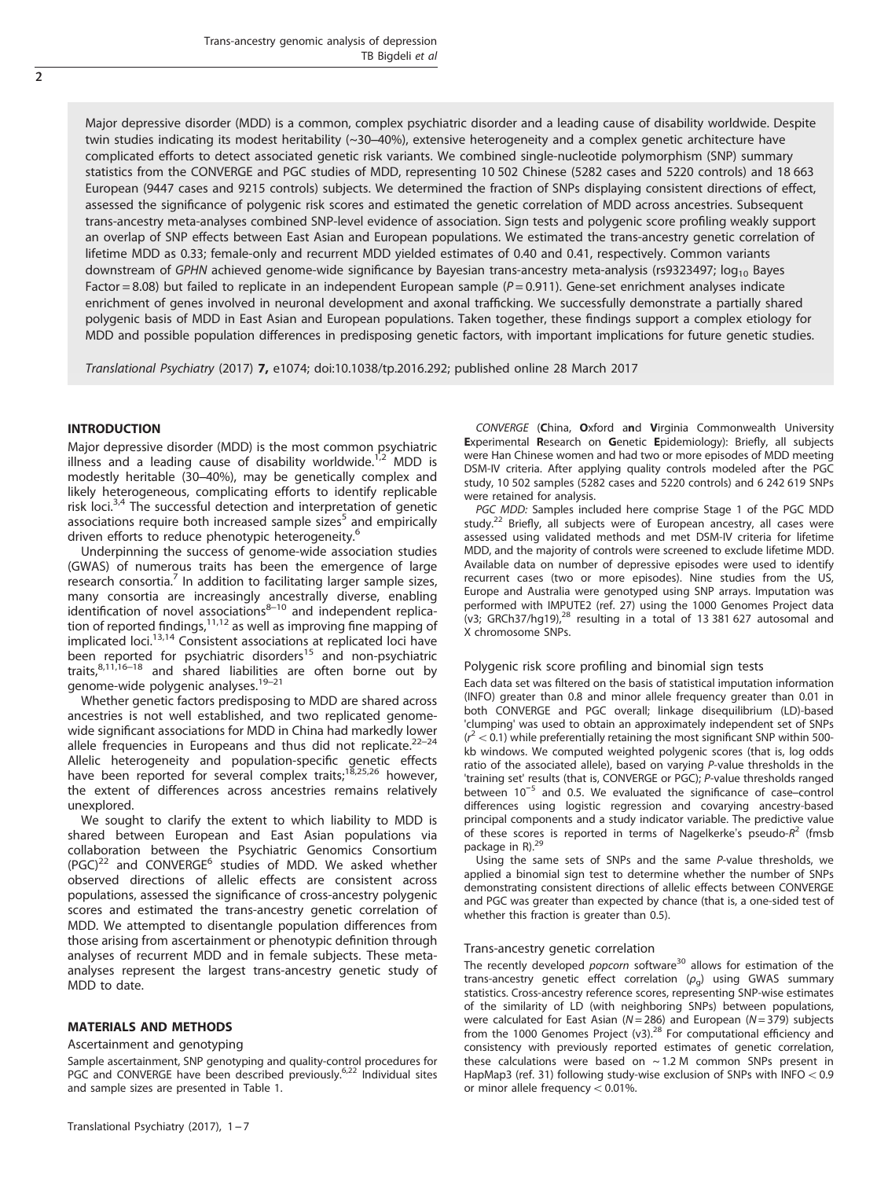Major depressive disorder (MDD) is a common, complex psychiatric disorder and a leading cause of disability worldwide. Despite twin studies indicating its modest heritability (~30–40%), extensive heterogeneity and a complex genetic architecture have complicated efforts to detect associated genetic risk variants. We combined single-nucleotide polymorphism (SNP) summary statistics from the CONVERGE and PGC studies of MDD, representing 10 502 Chinese (5282 cases and 5220 controls) and 18 663 European (9447 cases and 9215 controls) subjects. We determined the fraction of SNPs displaying consistent directions of effect, assessed the significance of polygenic risk scores and estimated the genetic correlation of MDD across ancestries. Subsequent trans-ancestry meta-analyses combined SNP-level evidence of association. Sign tests and polygenic score profiling weakly support an overlap of SNP effects between East Asian and European populations. We estimated the trans-ancestry genetic correlation of lifetime MDD as 0.33; female-only and recurrent MDD yielded estimates of 0.40 and 0.41, respectively. Common variants downstream of GPHN achieved genome-wide significance by Bayesian trans-ancestry meta-analysis (rs9323497; log<sub>10</sub> Bayes Factor = 8.08) but failed to replicate in an independent European sample ( $P = 0.911$ ). Gene-set enrichment analyses indicate enrichment of genes involved in neuronal development and axonal trafficking. We successfully demonstrate a partially shared polygenic basis of MDD in East Asian and European populations. Taken together, these findings support a complex etiology for MDD and possible population differences in predisposing genetic factors, with important implications for future genetic studies.

Translational Psychiatry (2017) 7, e1074; doi:[10.1038/tp.2016.292](http://dx.doi.org/10.1038/tp.2016.292); published online 28 March 2017

## INTRODUCTION

Major depressive disorder (MDD) is the most common psychiatric illness and a leading cause of disability worldwide.<sup>[1](#page-5-0),[2](#page-5-0)</sup> MDD is modestly heritable (30–40%), may be genetically complex and likely heterogeneous, complicating efforts to identify replicable risk loci. $3,4$  $3,4$  $3,4$  The successful detection and interpretation of genetic associations require both increased sample sizes<sup>[5](#page-5-0)</sup> and empirically driven efforts to reduce phenotypic heterogeneity.<sup>[6](#page-5-0)</sup>

Underpinning the success of genome-wide association studies (GWAS) of numerous traits has been the emergence of large research consortia.<sup>[7](#page-6-0)</sup> In addition to facilitating larger sample sizes, many consortia are increasingly ancestrally diverse, enabling identification of novel associations<sup>8–[10](#page-6-0)</sup> and independent replication of reported findings,  $11,12$  $11,12$  $11,12$  as well as improving fine mapping of implicated loci.<sup>[13,14](#page-6-0)</sup> Consistent associations at replicated loci have been reported for psychiatric disorders<sup>[15](#page-6-0)</sup> and non-psychiatric traits,  $8,11,16-18$  $8,11,16-18$  $8,11,16-18$  and shared liabilities are often borne out by genome-wide polygenic analyses.<sup>[19](#page-6-0)–21</sup>

Whether genetic factors predisposing to MDD are shared across ancestries is not well established, and two replicated genomewide significant associations for MDD in China had markedly lower allele frequencies in Europeans and thus did not replicate. $22-24$  $22-24$ Allelic heterogeneity and population-specific genetic effects have been reported for several complex traits;<sup>[18,25](#page-6-0),[26](#page-6-0)</sup> however, the extent of differences across ancestries remains relatively unexplored.

We sought to clarify the extent to which liability to MDD is shared between European and East Asian populations via collaboration between the Psychiatric Genomics Consortium  $(PGC)^{22}$  and CONVERGE<sup>[6](#page-5-0)</sup> studies of MDD. We asked whether observed directions of allelic effects are consistent across populations, assessed the significance of cross-ancestry polygenic scores and estimated the trans-ancestry genetic correlation of MDD. We attempted to disentangle population differences from those arising from ascertainment or phenotypic definition through analyses of recurrent MDD and in female subjects. These metaanalyses represent the largest trans-ancestry genetic study of MDD to date.

## MATERIALS AND METHODS

#### Ascertainment and genotyping

Sample ascertainment, SNP genotyping and quality-control procedures for PGC and CONVERGE have been described previously.<sup>[6](#page-5-0),[22](#page-6-0)</sup> Individual sites and sample sizes are presented in [Table 1](#page-2-0).

CONVERGE (China, Oxford and Virginia Commonwealth University Experimental Research on Genetic Epidemiology): Briefly, all subjects were Han Chinese women and had two or more episodes of MDD meeting DSM-IV criteria. After applying quality controls modeled after the PGC study, 10 502 samples (5282 cases and 5220 controls) and 6 242 619 SNPs were retained for analysis.

PGC MDD: Samples included here comprise Stage 1 of the PGC MDD study.<sup>22</sup> Briefly, all subjects were of European ancestry, all cases were assessed using validated methods and met DSM-IV criteria for lifetime MDD, and the majority of controls were screened to exclude lifetime MDD. Available data on number of depressive episodes were used to identify recurrent cases (two or more episodes). Nine studies from the US, Europe and Australia were genotyped using SNP arrays. Imputation was performed with IMPUTE2 (ref. [27\)](#page-6-0) using the 1000 Genomes Project data (v3; GRCh37/hg19),<sup>[28](#page-6-0)</sup> resulting in a total of 13 381 627 autosomal and X chromosome SNPs.

#### Polygenic risk score profiling and binomial sign tests

Each data set was filtered on the basis of statistical imputation information (INFO) greater than 0.8 and minor allele frequency greater than 0.01 in both CONVERGE and PGC overall; linkage disequilibrium (LD)-based 'clumping' was used to obtain an approximately independent set of SNPs  $(r<sup>2</sup> < 0.1)$  while preferentially retaining the most significant SNP within 500kb windows. We computed weighted polygenic scores (that is, log odds ratio of the associated allele), based on varying P-value thresholds in the 'training set' results (that is, CONVERGE or PGC); P-value thresholds ranged between 10−<sup>5</sup> and 0.5. We evaluated the significance of case–control differences using logistic regression and covarying ancestry-based principal components and a study indicator variable. The predictive value of these scores is reported in terms of Nagelkerke's pseudo- $R^2$  (fmsb package in R).<sup>[29](#page-6-0)</sup>

Using the same sets of SNPs and the same P-value thresholds, we applied a binomial sign test to determine whether the number of SNPs demonstrating consistent directions of allelic effects between CONVERGE and PGC was greater than expected by chance (that is, a one-sided test of whether this fraction is greater than 0.5).

#### Trans-ancestry genetic correlation

The recently developed popcorn software<sup>30</sup> allows for estimation of the trans-ancestry genetic effect correlation  $(\rho_g)$  using GWAS summary statistics. Cross-ancestry reference scores, representing SNP-wise estimates of the similarity of LD (with neighboring SNPs) between populations, were calculated for East Asian ( $N = 286$ ) and European ( $N = 379$ ) subjects from the 1000 Genomes Project (v3)[.28](#page-6-0) For computational efficiency and consistency with previously reported estimates of genetic correlation, these calculations were based on  $\sim$  1.2 M common SNPs present in HapMap3 (ref. [31](#page-6-0)) following study-wise exclusion of SNPs with  $INFO < 0.9$ or minor allele frequency  $< 0.01$ %.

 $\overline{2}$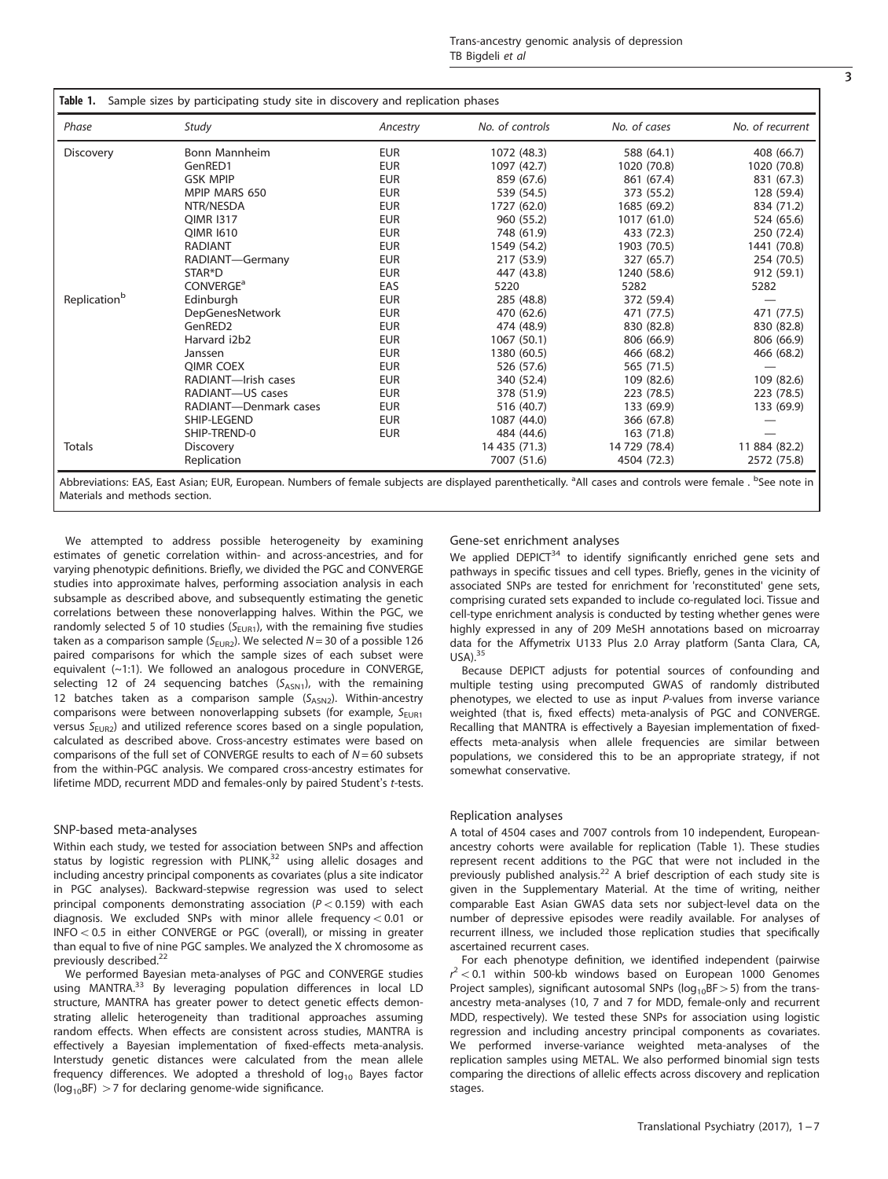<span id="page-2-0"></span>

| Phase                    | Study                       | Ancestry   | No. of controls | No. of cases  | No. of recurrent |
|--------------------------|-----------------------------|------------|-----------------|---------------|------------------|
| <b>Discovery</b>         | Bonn Mannheim               | <b>EUR</b> | 1072 (48.3)     | 588 (64.1)    | 408 (66.7)       |
|                          | GenRED1                     | <b>EUR</b> | 1097 (42.7)     | 1020 (70.8)   | 1020 (70.8)      |
|                          | <b>GSK MPIP</b>             | <b>EUR</b> | 859 (67.6)      | 861 (67.4)    | 831 (67.3)       |
|                          | MPIP MARS 650               | <b>EUR</b> | 539 (54.5)      | 373 (55.2)    | 128 (59.4)       |
|                          | NTR/NESDA                   | <b>EUR</b> | 1727 (62.0)     | 1685 (69.2)   | 834 (71.2)       |
|                          | <b>OIMR I317</b>            | <b>EUR</b> | 960 (55.2)      | 1017 (61.0)   | 524 (65.6)       |
|                          | <b>OIMR 1610</b>            | <b>EUR</b> | 748 (61.9)      | 433 (72.3)    | 250 (72.4)       |
|                          | <b>RADIANT</b>              | <b>EUR</b> | 1549 (54.2)     | 1903 (70.5)   | 1441 (70.8)      |
|                          | RADIANT-Germany             | <b>EUR</b> | 217 (53.9)      | 327 (65.7)    | 254 (70.5)       |
|                          | STAR*D                      | <b>EUR</b> | 447 (43.8)      | 1240 (58.6)   | 912 (59.1)       |
|                          | <b>CONVERGE<sup>a</sup></b> | EAS        | 5220            | 5282          | 5282             |
| Replication <sup>b</sup> | Edinburgh                   | <b>EUR</b> | 285 (48.8)      | 372 (59.4)    |                  |
|                          | DepGenesNetwork             | <b>EUR</b> | 470 (62.6)      | 471 (77.5)    | 471 (77.5)       |
|                          | GenRED <sub>2</sub>         | <b>EUR</b> | 474 (48.9)      | 830 (82.8)    | 830 (82.8)       |
|                          | Harvard i2b2                | <b>EUR</b> | 1067 (50.1)     | 806 (66.9)    | 806 (66.9)       |
|                          | Janssen                     | <b>EUR</b> | 1380 (60.5)     | 466 (68.2)    | 466 (68.2)       |
|                          | OIMR COEX                   | <b>EUR</b> | 526 (57.6)      | 565 (71.5)    |                  |
|                          | RADIANT-Irish cases         | <b>EUR</b> | 340 (52.4)      | 109 (82.6)    | 109 (82.6)       |
|                          | RADIANT-US cases            | <b>EUR</b> | 378 (51.9)      | 223 (78.5)    | 223 (78.5)       |
|                          | RADIANT-Denmark cases       | <b>EUR</b> | 516 (40.7)      | 133 (69.9)    | 133 (69.9)       |
|                          | SHIP-LEGEND                 | <b>EUR</b> | 1087 (44.0)     | 366 (67.8)    |                  |
|                          | SHIP-TREND-0                | <b>EUR</b> | 484 (44.6)      | 163 (71.8)    |                  |
| <b>Totals</b>            | <b>Discovery</b>            |            | 14 435 (71.3)   | 14 729 (78.4) | 11 884 (82.2)    |
|                          | Replication                 |            | 7007 (51.6)     | 4504 (72.3)   | 2572 (75.8)      |

Materials and methods section.

We attempted to address possible heterogeneity by examining estimates of genetic correlation within- and across-ancestries, and for varying phenotypic definitions. Briefly, we divided the PGC and CONVERGE studies into approximate halves, performing association analysis in each subsample as described above, and subsequently estimating the genetic correlations between these nonoverlapping halves. Within the PGC, we randomly selected 5 of 10 studies ( $S_{EUR1}$ ), with the remaining five studies taken as a comparison sample ( $S_{EUR2}$ ). We selected  $N = 30$  of a possible 126 paired comparisons for which the sample sizes of each subset were equivalent (~1:1). We followed an analogous procedure in CONVERGE, selecting 12 of 24 sequencing batches  $(S_{ASN1})$ , with the remaining 12 batches taken as a comparison sample  $(S_{ASN2})$ . Within-ancestry comparisons were between nonoverlapping subsets (for example,  $S_{EUR1}$ versus  $S_{FUR2}$ ) and utilized reference scores based on a single population, calculated as described above. Cross-ancestry estimates were based on comparisons of the full set of CONVERGE results to each of  $N = 60$  subsets from the within-PGC analysis. We compared cross-ancestry estimates for lifetime MDD, recurrent MDD and females-only by paired Student's t-tests.

#### SNP-based meta-analyses

Within each study, we tested for association between SNPs and affection status by logistic regression with  $PLINK<sub>2</sub><sup>32</sup>$  using allelic dosages and including ancestry principal components as covariates (plus a site indicator in PGC analyses). Backward-stepwise regression was used to select principal components demonstrating association ( $P < 0.159$ ) with each diagnosis. We excluded SNPs with minor allele frequency  $< 0.01$  or  $INFO < 0.5$  in either CONVERGE or PGC (overall), or missing in greater than equal to five of nine PGC samples. We analyzed the X chromosome as previously described.<sup>22</sup>

We performed Bayesian meta-analyses of PGC and CONVERGE studies using MANTRA.[33](#page-6-0) By leveraging population differences in local LD structure, MANTRA has greater power to detect genetic effects demonstrating allelic heterogeneity than traditional approaches assuming random effects. When effects are consistent across studies, MANTRA is effectively a Bayesian implementation of fixed-effects meta-analysis. Interstudy genetic distances were calculated from the mean allele frequency differences. We adopted a threshold of  $log_{10}$  Bayes factor  $(log_{10}BF)$  > 7 for declaring genome-wide significance.

#### Gene-set enrichment analyses

We applied  $DEFICT<sup>34</sup>$  $DEFICT<sup>34</sup>$  $DEFICT<sup>34</sup>$  to identify significantly enriched gene sets and pathways in specific tissues and cell types. Briefly, genes in the vicinity of associated SNPs are tested for enrichment for 'reconstituted' gene sets, comprising curated sets expanded to include co-regulated loci. Tissue and cell-type enrichment analysis is conducted by testing whether genes were highly expressed in any of 209 MeSH annotations based on microarray data for the Affymetrix U133 Plus 2.0 Array platform (Santa Clara, CA,  $USA).$ <sup>[35](#page-6-0)</sup>

Because DEPICT adjusts for potential sources of confounding and multiple testing using precomputed GWAS of randomly distributed phenotypes, we elected to use as input P-values from inverse variance weighted (that is, fixed effects) meta-analysis of PGC and CONVERGE. Recalling that MANTRA is effectively a Bayesian implementation of fixedeffects meta-analysis when allele frequencies are similar between populations, we considered this to be an appropriate strategy, if not somewhat conservative.

#### Replication analyses

A total of 4504 cases and 7007 controls from 10 independent, Europeanancestry cohorts were available for replication (Table 1). These studies represent recent additions to the PGC that were not included in the previously published analysis.[22](#page-6-0) A brief description of each study site is given in the Supplementary Material. At the time of writing, neither comparable East Asian GWAS data sets nor subject-level data on the number of depressive episodes were readily available. For analyses of recurrent illness, we included those replication studies that specifically ascertained recurrent cases.

For each phenotype definition, we identified independent (pairwise  $r^2$  < 0.1 within 500-kb windows based on European 1000 Genomes Project samples), significant autosomal SNPs ( $log_{10}BF>5$ ) from the transancestry meta-analyses (10, 7 and 7 for MDD, female-only and recurrent MDD, respectively). We tested these SNPs for association using logistic regression and including ancestry principal components as covariates. We performed inverse-variance weighted meta-analyses of the replication samples using METAL. We also performed binomial sign tests comparing the directions of allelic effects across discovery and replication stages.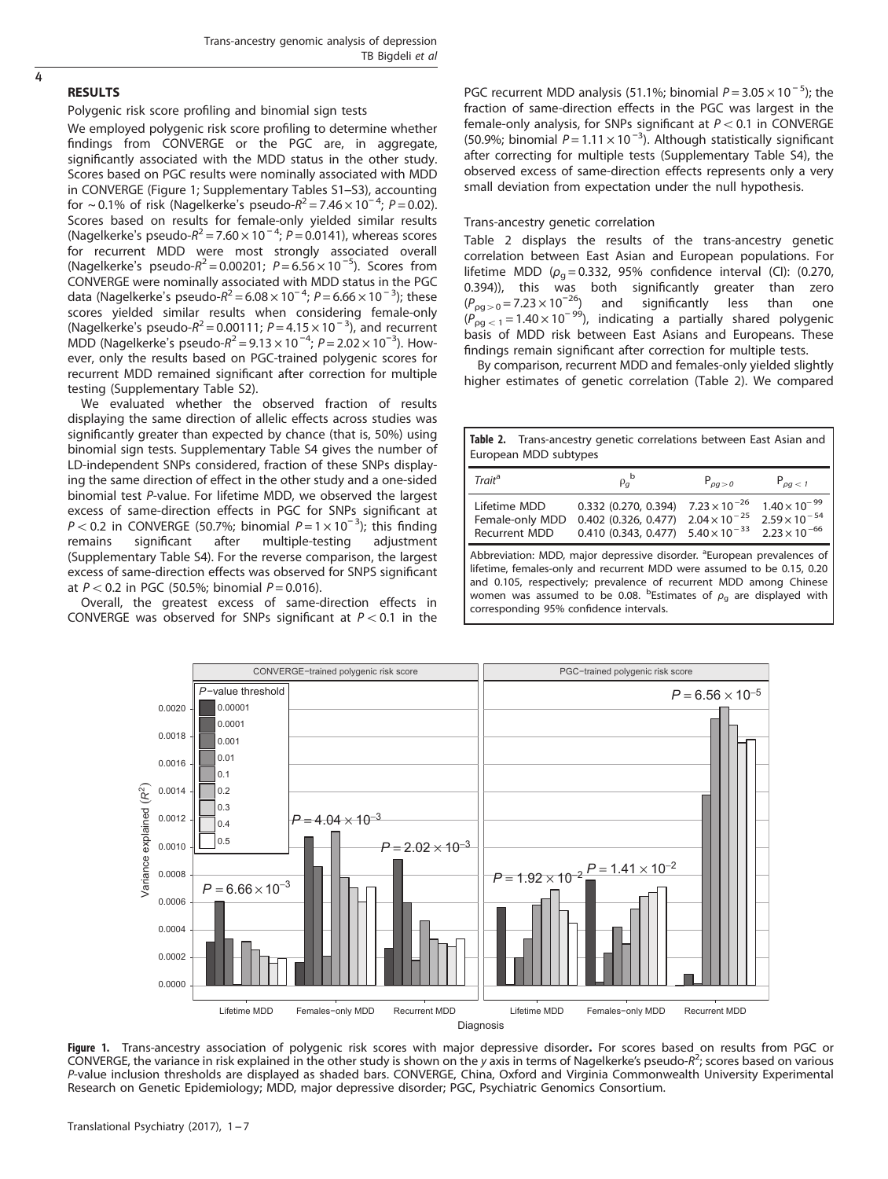## RESULTS

4

Polygenic risk score profiling and binomial sign tests

We employed polygenic risk score profiling to determine whether findings from CONVERGE or the PGC are, in aggregate, significantly associated with the MDD status in the other study. Scores based on PGC results were nominally associated with MDD in CONVERGE (Figure 1; Supplementary Tables S1–S3), accounting for ~0.1% of risk (Nagelkerke's pseudo- $R^2 = 7.46 \times 10^{-4}$ ; P = 0.02). Scores based on results for female-only yielded similar results (Nagelkerke's pseudo- $R^2 = 7.60 \times 10^{-4}$ ;  $P = 0.0141$ ), whereas scores for recurrent MDD were most strongly associated overall (Nagelkerke's pseudo- $R^2 = 0.00201$ ;  $P = 6.56 \times 10^{-5}$ ). Scores from CONVERGE were nominally associated with MDD status in the PGC data (Nagelkerke's pseudo- $R^2 = 6.08 \times 10^{-4}$ ;  $P = 6.66 \times 10^{-3}$ ); these scores yielded similar results when considering female-only (Nagelkerke's pseudo- $R^2$  = 0.00111;  $P = 4.15 \times 10^{-3}$ ), and recurrent MDD (Nagelkerke's pseudo- $R^2 = 9.13 \times 10^{-4}$ ;  $P = 2.02 \times 10^{-3}$ ). However, only the results based on PGC-trained polygenic scores for recurrent MDD remained significant after correction for multiple testing (Supplementary Table S2).

We evaluated whether the observed fraction of results displaying the same direction of allelic effects across studies was significantly greater than expected by chance (that is, 50%) using binomial sign tests. Supplementary Table S4 gives the number of LD-independent SNPs considered, fraction of these SNPs displaying the same direction of effect in the other study and a one-sided binomial test P-value. For lifetime MDD, we observed the largest excess of same-direction effects in PGC for SNPs significant at  $P < 0.2$  in CONVERGE (50.7%; binomial  $P = 1 \times 10^{-3}$ ); this finding remains significant after multiple-testing adjustment (Supplementary Table S4). For the reverse comparison, the largest excess of same-direction effects was observed for SNPS significant at  $P < 0.2$  in PGC (50.5%; binomial  $P = 0.016$ ).

Overall, the greatest excess of same-direction effects in CONVERGE was observed for SNPs significant at  $P < 0.1$  in the

PGC recurrent MDD analysis (51.1%; binomial  $P = 3.05 \times 10^{-5}$ ); the fraction of same-direction effects in the PGC was largest in the female-only analysis, for SNPs significant at  $P < 0.1$  in CONVERGE (50.9%; binomial  $P = 1.11 \times 10^{-3}$ ). Although statistically significant after correcting for multiple tests (Supplementary Table S4), the observed excess of same-direction effects represents only a very small deviation from expectation under the null hypothesis.

## Trans-ancestry genetic correlation

Table 2 displays the results of the trans-ancestry genetic correlation between East Asian and European populations. For lifetime MDD ( $\rho_{\alpha}$  = 0.332, 95% confidence interval (CI): (0.270, 0.394)), this was both significantly greater than zero  $(P_{\rho g>0} = 7.23 \times 10^{-26})$  and significantly less than one  $(P_{\text{p,q}} > 1 = 1.40 \times 10^{-99})$ , indicating a partially shared polygenic basis of MDD risk between East Asians and Europeans. These findings remain significant after correction for multiple tests.

By comparison, recurrent MDD and females-only yielded slightly higher estimates of genetic correlation (Table 2). We compared

| <b>Table 2.</b> Trans-ancestry genetic correlations between East Asian and<br>European MDD subtypes                                                                                                                                                                                                                                                                  |                                                                            |                                                                            |                                                                            |  |  |  |  |
|----------------------------------------------------------------------------------------------------------------------------------------------------------------------------------------------------------------------------------------------------------------------------------------------------------------------------------------------------------------------|----------------------------------------------------------------------------|----------------------------------------------------------------------------|----------------------------------------------------------------------------|--|--|--|--|
| Trait <sup>a</sup>                                                                                                                                                                                                                                                                                                                                                   | $\rho_g^{\rm b}$                                                           | $P_{\rho q>0}$                                                             | $P_{\rho q}$ < 1                                                           |  |  |  |  |
| Lifetime MDD<br>Female-only MDD<br><b>Recurrent MDD</b>                                                                                                                                                                                                                                                                                                              | $0.332$ $(0.270, 0.394)$<br>$0.402$ (0.326, 0.477)<br>0.410 (0.343, 0.477) | $7.23 \times 10^{-26}$<br>$2.04 \times 10^{-25}$<br>$5.40 \times 10^{-33}$ | $1.40 \times 10^{-99}$<br>$2.59 \times 10^{-54}$<br>$2.23 \times 10^{-66}$ |  |  |  |  |
| Abbreviation: MDD, major depressive disorder. <sup>a</sup> European prevalences of<br>lifetime, females-only and recurrent MDD were assumed to be 0.15, 0.20<br>and 0.105, respectively; prevalence of recurrent MDD among Chinese<br>women was assumed to be 0.08. <sup>b</sup> Estimates of $\rho_a$ are displayed with<br>corresponding 95% confidence intervals. |                                                                            |                                                                            |                                                                            |  |  |  |  |



Figure 1. Trans-ancestry association of polygenic risk scores with major depressive disorder. For scores based on results from PGC or CONVERGE, the variance in risk explained in the other study is shown on the y axis in terms of Nagelkerke's pseudo-R<sup>2</sup>; scores based on various P-value inclusion thresholds are displayed as shaded bars. CONVERGE, China, Oxford and Virginia Commonwealth University Experimental Research on Genetic Epidemiology; MDD, major depressive disorder; PGC, Psychiatric Genomics Consortium.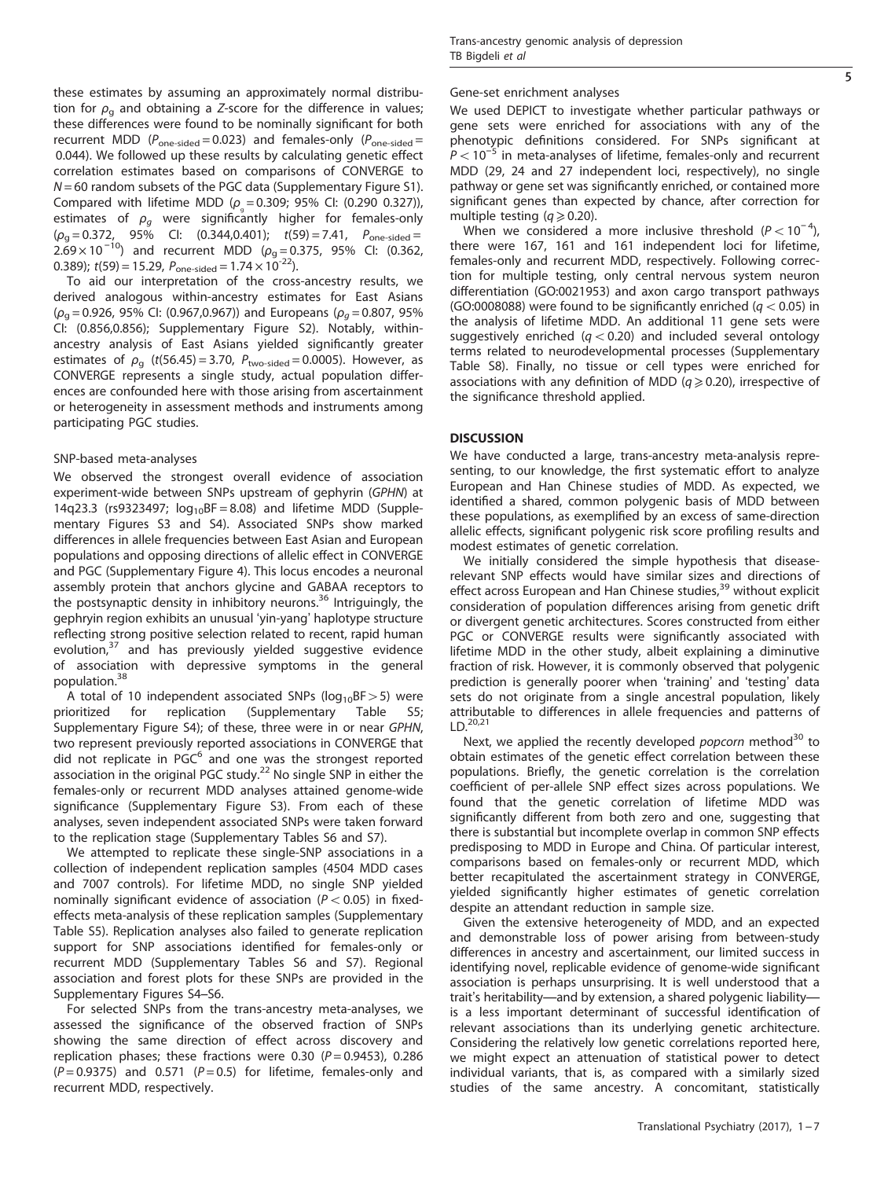these estimates by assuming an approximately normal distribution for  $\rho_a$  and obtaining a Z-score for the difference in values; these differences were found to be nominally significant for both recurrent MDD ( $P_{one-sided} = 0.023$ ) and females-only ( $P_{one-sided} =$ 0.044). We followed up these results by calculating genetic effect correlation estimates based on comparisons of CONVERGE to  $N = 60$  random subsets of the PGC data (Supplementary Figure S1). Compared with lifetime MDD ( $ρ_$  = 0.309; 95% CI: (0.290 0.327)), estimates of  $\rho_g$  were significantly higher for females-only  $(\rho_{\text{q}} = 0.372, 95\% \text{ Cl: } (0.344, 0.401); t(59) = 7.41, P_{\text{one-sided}} =$  $2.69 \times 10^{-10}$ ) and recurrent MDD ( $\rho_{\rm g} = 0.375$ , 95% CI: (0.362, 0.389);  $t(59) = 15.29$ ,  $P_{one-sided} = 1.74 \times 10^{-22}$ .

To aid our interpretation of the cross-ancestry results, we derived analogous within-ancestry estimates for East Asians  $(\rho_{\alpha} = 0.926, 95\%$  CI: (0.967,0.967)) and Europeans ( $\rho_{\alpha} = 0.807, 95\%$ CI: (0.856,0.856); Supplementary Figure S2). Notably, withinancestry analysis of East Asians yielded significantly greater estimates of  $\rho_a$  (t(56.45) = 3.70,  $P_{\text{two-sided}}$  = 0.0005). However, as CONVERGE represents a single study, actual population differences are confounded here with those arising from ascertainment or heterogeneity in assessment methods and instruments among participating PGC studies.

## SNP-based meta-analyses

We observed the strongest overall evidence of association experiment-wide between SNPs upstream of gephyrin (GPHN) at 14q23.3 (rs9323497;  $log_{10}BF = 8.08$ ) and lifetime MDD (Supplementary Figures S3 and S4). Associated SNPs show marked differences in allele frequencies between East Asian and European populations and opposing directions of allelic effect in CONVERGE and PGC (Supplementary Figure 4). This locus encodes a neuronal assembly protein that anchors glycine and GABAA receptors to the postsynaptic density in inhibitory neurons.<sup>[36](#page-6-0)</sup> Intriguingly, the gephryin region exhibits an unusual 'yin-yang' haplotype structure reflecting strong positive selection related to recent, rapid human evolution,[37](#page-6-0) and has previously yielded suggestive evidence of association with depressive symptoms in the general population.<sup>[38](#page-6-0)</sup>

A total of 10 independent associated SNPs ( $log_{10}BF>5$ ) were prioritized for replication (Supplementary Table S5; Supplementary Figure S4); of these, three were in or near GPHN, two represent previously reported associations in CONVERGE that did not replicate in  $PGC<sup>6</sup>$  $PGC<sup>6</sup>$  $PGC<sup>6</sup>$  and one was the strongest reported association in the original PGC study.<sup>[22](#page-6-0)</sup> No single SNP in either the females-only or recurrent MDD analyses attained genome-wide significance (Supplementary Figure S3). From each of these analyses, seven independent associated SNPs were taken forward to the replication stage (Supplementary Tables S6 and S7).

We attempted to replicate these single-SNP associations in a collection of independent replication samples (4504 MDD cases and 7007 controls). For lifetime MDD, no single SNP yielded nominally significant evidence of association ( $P < 0.05$ ) in fixedeffects meta-analysis of these replication samples (Supplementary Table S5). Replication analyses also failed to generate replication support for SNP associations identified for females-only or recurrent MDD (Supplementary Tables S6 and S7). Regional association and forest plots for these SNPs are provided in the Supplementary Figures S4-S6.

For selected SNPs from the trans-ancestry meta-analyses, we assessed the significance of the observed fraction of SNPs showing the same direction of effect across discovery and replication phases; these fractions were 0.30 ( $P = 0.9453$ ), 0.286  $(P = 0.9375)$  and 0.571 ( $P = 0.5$ ) for lifetime, females-only and recurrent MDD, respectively.

## Gene-set enrichment analyses

We used DEPICT to investigate whether particular pathways or gene sets were enriched for associations with any of the phenotypic definitions considered. For SNPs significant at  $P < 10^{-5}$  in meta-analyses of lifetime, females-only and recurrent MDD (29, 24 and 27 independent loci, respectively), no single pathway or gene set was significantly enriched, or contained more significant genes than expected by chance, after correction for multiple testing  $(q \ge 0.20)$ .

When we considered a more inclusive threshold  $(P < 10^{-4})$ , there were 167, 161 and 161 independent loci for lifetime, females-only and recurrent MDD, respectively. Following correction for multiple testing, only central nervous system neuron differentiation (GO:0021953) and axon cargo transport pathways (GO:0008088) were found to be significantly enriched ( $q<0.05$ ) in the analysis of lifetime MDD. An additional 11 gene sets were suggestively enriched  $(q<0.20)$  and included several ontology terms related to neurodevelopmental processes (Supplementary Table S8). Finally, no tissue or cell types were enriched for associations with any definition of MDD  $(q \ge 0.20)$ , irrespective of the significance threshold applied.

## **DISCUSSION**

We have conducted a large, trans-ancestry meta-analysis representing, to our knowledge, the first systematic effort to analyze European and Han Chinese studies of MDD. As expected, we identified a shared, common polygenic basis of MDD between these populations, as exemplified by an excess of same-direction allelic effects, significant polygenic risk score profiling results and modest estimates of genetic correlation.

We initially considered the simple hypothesis that diseaserelevant SNP effects would have similar sizes and directions of effect across European and Han Chinese studies,<sup>[39](#page-6-0)</sup> without explicit consideration of population differences arising from genetic drift or divergent genetic architectures. Scores constructed from either PGC or CONVERGE results were significantly associated with lifetime MDD in the other study, albeit explaining a diminutive fraction of risk. However, it is commonly observed that polygenic prediction is generally poorer when 'training' and 'testing' data sets do not originate from a single ancestral population, likely attributable to differences in allele frequencies and patterns of  $LD.<sup>20,21</sup>$  $LD.<sup>20,21</sup>$  $LD.<sup>20,21</sup>$ 

Next, we applied the recently developed popcorn method<sup>[30](#page-6-0)</sup> to obtain estimates of the genetic effect correlation between these populations. Briefly, the genetic correlation is the correlation coefficient of per-allele SNP effect sizes across populations. We found that the genetic correlation of lifetime MDD was significantly different from both zero and one, suggesting that there is substantial but incomplete overlap in common SNP effects predisposing to MDD in Europe and China. Of particular interest, comparisons based on females-only or recurrent MDD, which better recapitulated the ascertainment strategy in CONVERGE, yielded significantly higher estimates of genetic correlation despite an attendant reduction in sample size.

Given the extensive heterogeneity of MDD, and an expected and demonstrable loss of power arising from between-study differences in ancestry and ascertainment, our limited success in identifying novel, replicable evidence of genome-wide significant association is perhaps unsurprising. It is well understood that a trait's heritability—and by extension, a shared polygenic liability is a less important determinant of successful identification of relevant associations than its underlying genetic architecture. Considering the relatively low genetic correlations reported here, we might expect an attenuation of statistical power to detect individual variants, that is, as compared with a similarly sized studies of the same ancestry. A concomitant, statistically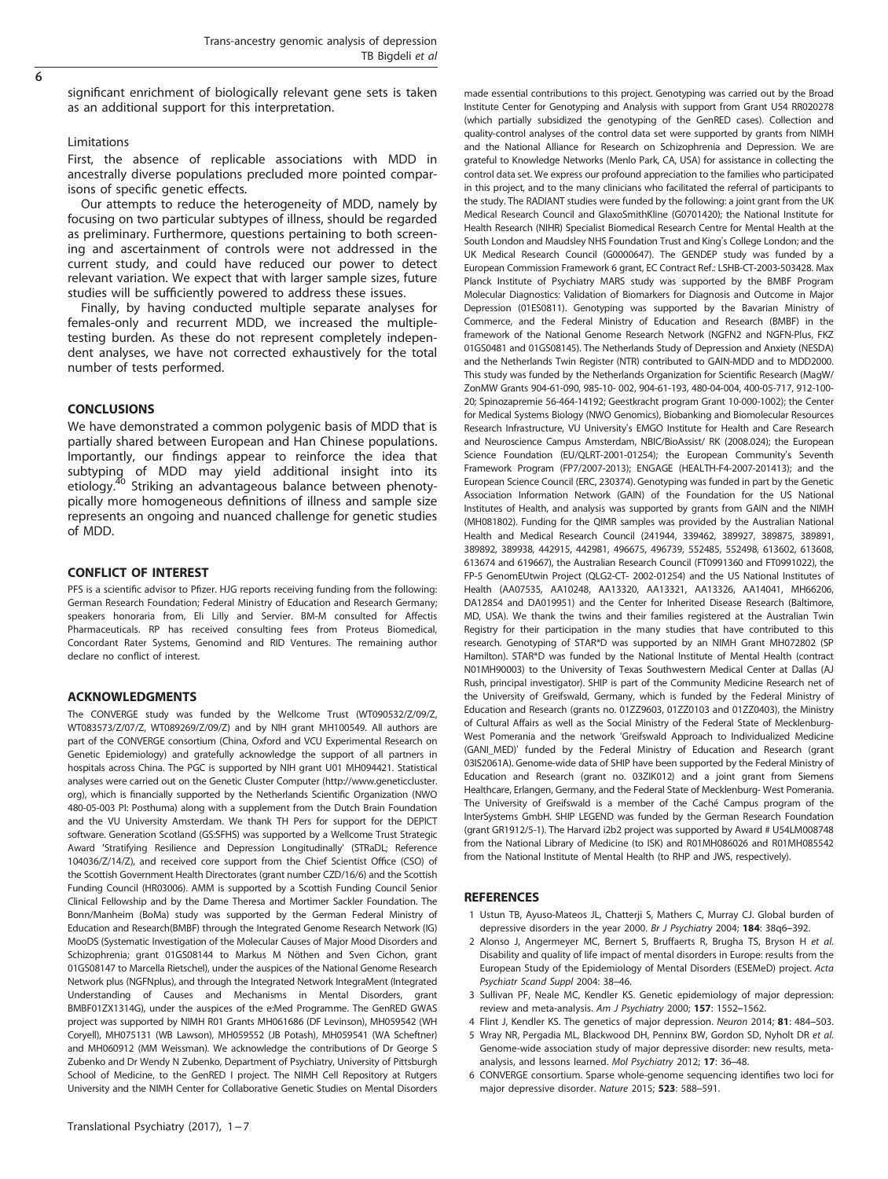<span id="page-5-0"></span>significant enrichment of biologically relevant gene sets is taken as an additional support for this interpretation.

### Limitations

First, the absence of replicable associations with MDD in ancestrally diverse populations precluded more pointed comparisons of specific genetic effects.

Our attempts to reduce the heterogeneity of MDD, namely by focusing on two particular subtypes of illness, should be regarded as preliminary. Furthermore, questions pertaining to both screening and ascertainment of controls were not addressed in the current study, and could have reduced our power to detect relevant variation. We expect that with larger sample sizes, future studies will be sufficiently powered to address these issues.

Finally, by having conducted multiple separate analyses for females-only and recurrent MDD, we increased the multipletesting burden. As these do not represent completely independent analyses, we have not corrected exhaustively for the total number of tests performed.

## **CONCLUSIONS**

We have demonstrated a common polygenic basis of MDD that is partially shared between European and Han Chinese populations. Importantly, our findings appear to reinforce the idea that subtyping of MDD may yield additional insight into its<br>etiology.<sup>40</sup> Striking<code>an</code> advantageous\_balance\_between\_phenotypically more homogeneous definitions of illness and sample size represents an ongoing and nuanced challenge for genetic studies of MDD.

#### CONFLICT OF INTEREST

PFS is a scientific advisor to Pfizer. HJG reports receiving funding from the following: German Research Foundation; Federal Ministry of Education and Research Germany; speakers honoraria from, Eli Lilly and Servier. BM-M consulted for Affectis Pharmaceuticals. RP has received consulting fees from Proteus Biomedical, Concordant Rater Systems, Genomind and RID Ventures. The remaining author declare no conflict of interest.

#### ACKNOWLEDGMENTS

The CONVERGE study was funded by the Wellcome Trust (WT090532/Z/09/Z, WT083573/Z/07/Z, WT089269/Z/09/Z) and by NIH grant MH100549. All authors are part of the CONVERGE consortium (China, Oxford and VCU Experimental Research on Genetic Epidemiology) and gratefully acknowledge the support of all partners in hospitals across China. The PGC is supported by NIH grant U01 MH094421. Statistical analyses were carried out on the Genetic Cluster Computer (http://www.geneticcluster. org), which is financially supported by the Netherlands Scientific Organization (NWO 480-05-003 PI: Posthuma) along with a supplement from the Dutch Brain Foundation and the VU University Amsterdam. We thank TH Pers for support for the DEPICT software. Generation Scotland (GS:SFHS) was supported by a Wellcome Trust Strategic Award 'Stratifying Resilience and Depression Longitudinally' (STRaDL; Reference 104036/Z/14/Z), and received core support from the Chief Scientist Office (CSO) of the Scottish Government Health Directorates (grant number CZD/16/6) and the Scottish Funding Council (HR03006). AMM is supported by a Scottish Funding Council Senior Clinical Fellowship and by the Dame Theresa and Mortimer Sackler Foundation. The Bonn/Manheim (BoMa) study was supported by the German Federal Ministry of Education and Research(BMBF) through the Integrated Genome Research Network (IG) MooDS (Systematic Investigation of the Molecular Causes of Major Mood Disorders and Schizophrenia; grant 01GS08144 to Markus M Nöthen and Sven Cichon, grant 01GS08147 to Marcella Rietschel), under the auspices of the National Genome Research Network plus (NGFNplus), and through the Integrated Network IntegraMent (Integrated Understanding of Causes and Mechanisms in Mental Disorders, grant BMBF01ZX1314G), under the auspices of the e:Med Programme. The GenRED GWAS project was supported by NIMH R01 Grants MH061686 (DF Levinson), MH059542 (WH Coryell), MH075131 (WB Lawson), MH059552 (JB Potash), MH059541 (WA Scheftner) and MH060912 (MM Weissman). We acknowledge the contributions of Dr George S Zubenko and Dr Wendy N Zubenko, Department of Psychiatry, University of Pittsburgh School of Medicine, to the GenRED I project. The NIMH Cell Repository at Rutgers University and the NIMH Center for Collaborative Genetic Studies on Mental Disorders made essential contributions to this project. Genotyping was carried out by the Broad Institute Center for Genotyping and Analysis with support from Grant U54 RR020278 (which partially subsidized the genotyping of the GenRED cases). Collection and quality-control analyses of the control data set were supported by grants from NIMH and the National Alliance for Research on Schizophrenia and Depression. We are grateful to Knowledge Networks (Menlo Park, CA, USA) for assistance in collecting the control data set. We express our profound appreciation to the families who participated in this project, and to the many clinicians who facilitated the referral of participants to the study. The RADIANT studies were funded by the following: a joint grant from the UK Medical Research Council and GlaxoSmithKline (G0701420); the National Institute for Health Research (NIHR) Specialist Biomedical Research Centre for Mental Health at the South London and Maudsley NHS Foundation Trust and King's College London; and the UK Medical Research Council (G0000647). The GENDEP study was funded by a European Commission Framework 6 grant, EC Contract Ref.: LSHB-CT-2003-503428. Max Planck Institute of Psychiatry MARS study was supported by the BMBF Program Molecular Diagnostics: Validation of Biomarkers for Diagnosis and Outcome in Major Depression (01ES0811). Genotyping was supported by the Bavarian Ministry of Commerce, and the Federal Ministry of Education and Research (BMBF) in the framework of the National Genome Research Network (NGFN2 and NGFN-Plus, FKZ 01GS0481 and 01GS08145). The Netherlands Study of Depression and Anxiety (NESDA) and the Netherlands Twin Register (NTR) contributed to GAIN-MDD and to MDD2000. This study was funded by the Netherlands Organization for Scientific Research (MagW/ ZonMW Grants 904-61-090, 985-10- 002, 904-61-193, 480-04-004, 400-05-717, 912-100- 20; Spinozapremie 56-464-14192; Geestkracht program Grant 10-000-1002); the Center for Medical Systems Biology (NWO Genomics), Biobanking and Biomolecular Resources Research Infrastructure, VU University's EMGO Institute for Health and Care Research and Neuroscience Campus Amsterdam, NBIC/BioAssist/ RK (2008.024); the European Science Foundation (EU/QLRT-2001-01254); the European Community's Seventh Framework Program (FP7/2007-2013); ENGAGE (HEALTH-F4-2007-201413); and the European Science Council (ERC, 230374). Genotyping was funded in part by the Genetic Association Information Network (GAIN) of the Foundation for the US National Institutes of Health, and analysis was supported by grants from GAIN and the NIMH (MH081802). Funding for the QIMR samples was provided by the Australian National Health and Medical Research Council (241944, 339462, 389927, 389875, 389891, 389892, 389938, 442915, 442981, 496675, 496739, 552485, 552498, 613602, 613608, 613674 and 619667), the Australian Research Council (FT0991360 and FT0991022), the FP-5 GenomEUtwin Project (QLG2-CT- 2002-01254) and the US National Institutes of Health (AA07535, AA10248, AA13320, AA13321, AA13326, AA14041, MH66206, DA12854 and DA019951) and the Center for Inherited Disease Research (Baltimore, MD, USA). We thank the twins and their families registered at the Australian Twin Registry for their participation in the many studies that have contributed to this research. Genotyping of STAR\*D was supported by an NIMH Grant MH072802 (SP Hamilton). STAR\*D was funded by the National Institute of Mental Health (contract N01MH90003) to the University of Texas Southwestern Medical Center at Dallas (AJ Rush, principal investigator). SHIP is part of the Community Medicine Research net of the University of Greifswald, Germany, which is funded by the Federal Ministry of Education and Research (grants no. 01ZZ9603, 01ZZ0103 and 01ZZ0403), the Ministry of Cultural Affairs as well as the Social Ministry of the Federal State of Mecklenburg-West Pomerania and the network 'Greifswald Approach to Individualized Medicine (GANI\_MED)' funded by the Federal Ministry of Education and Research (grant 03IS2061A). Genome-wide data of SHIP have been supported by the Federal Ministry of Education and Research (grant no. 03ZIK012) and a joint grant from Siemens Healthcare, Erlangen, Germany, and the Federal State of Mecklenburg- West Pomerania. The University of Greifswald is a member of the Caché Campus program of the InterSystems GmbH. SHIP LEGEND was funded by the German Research Foundation (grant GR1912/5-1). The Harvard i2b2 project was supported by Award # U54LM008748 from the National Library of Medicine (to ISK) and R01MH086026 and R01MH085542 from the National Institute of Mental Health (to RHP and JWS, respectively).

# **REFERENCES**

- 1 Ustun TB, Ayuso-Mateos JL, Chatterji S, Mathers C, Murray CJ. Global burden of depressive disorders in the year 2000. Br J Psychiatry 2004; 184: 38q6-392.
- 2 Alonso J, Angermeyer MC, Bernert S, Bruffaerts R, Brugha TS, Bryson H et al. Disability and quality of life impact of mental disorders in Europe: results from the European Study of the Epidemiology of Mental Disorders (ESEMeD) project. Acta Psychiatr Scand Suppl 2004: 38–46.
- 3 Sullivan PF, Neale MC, Kendler KS. Genetic epidemiology of major depression: review and meta-analysis. Am J Psychiatry 2000; 157: 1552–1562.
- 4 Flint J, Kendler KS. The genetics of major depression. Neuron 2014; 81: 484–503. 5 Wray NR, Pergadia ML, Blackwood DH, Penninx BW, Gordon SD, Nyholt DR et al. Genome-wide association study of major depressive disorder: new results, metaanalysis, and lessons learned. Mol Psychiatry 2012; 17: 36–48.
- 6 CONVERGE consortium. Sparse whole-genome sequencing identifies two loci for major depressive disorder. Nature 2015; 523: 588–591.